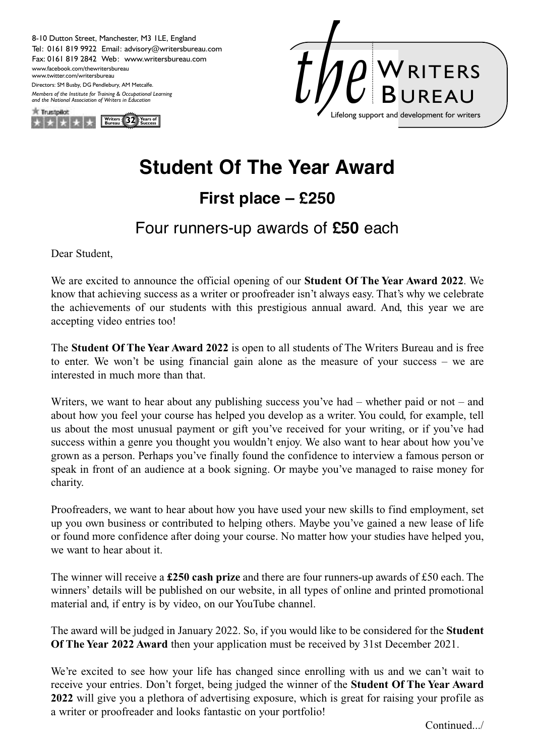Tel: 0161 819 9922 Email: advisory@writersbureau.com Fax: 0161 819 2842 Web: www.writersbureau.com 8-10 Dutton Street, Manchester, M3 1LE, England Directors: SM Busby, DG Pendlebury, AM Metcalfe. www.facebook.com/thewritersbureau www.twitter.com/writersbureau *Members of the Institute for Training & Occupational Learning and the National Association of Writers in Education*





## **Student Of The Year Award**

## **First place – £250**

## Four runners-up awards of **£50** each

Dear Student,

We are excited to announce the official opening of our **Student Of The Year Award 2022**. We know that achieving success as a writer or proofreader isn't always easy. That's why we celebrate the achievements of our students with this prestigious annual award. And, this year we are accepting video entries too!

The **Student Of The Year Award 2022** is open to all students of The Writers Bureau and is free to enter. We won't be using financial gain alone as the measure of your success – we are interested in much more than that.

Writers, we want to hear about any publishing success you've had – whether paid or not – and about how you feel your course has helped you develop as a writer. You could, for example, tell us about the most unusual payment or gift you've received for your writing, or if you've had success within a genre you thought you wouldn't enjoy. We also want to hear about how you've grown as a person. Perhaps you've finally found the confidence to interview a famous person or speak in front of an audience at a book signing. Or maybe you've managed to raise money for charity.

Proofreaders, we want to hear about how you have used your new skills to find employment, set up you own business or contributed to helping others. Maybe you've gained a new lease of life or found more confidence after doing your course. No matter how your studies have helped you, we want to hear about it.

The winner will receive a **£250 cash prize** and there are four runners-up awards of £50 each. The winners' details will be published on our website, in all types of online and printed promotional material and, if entry is by video, on our YouTube channel.

The award will be judged in January 2022. So, if you would like to be considered for the **Student Of The Year 2022 Award** then your application must be received by 31st December 2021.

We're excited to see how your life has changed since enrolling with us and we can't wait to receive your entries. Don't forget, being judged the winner of the **Student Of The Year Award 2022** will give you a plethora of advertising exposure, which is great for raising your profile as a writer or proofreader and looks fantastic on your portfolio!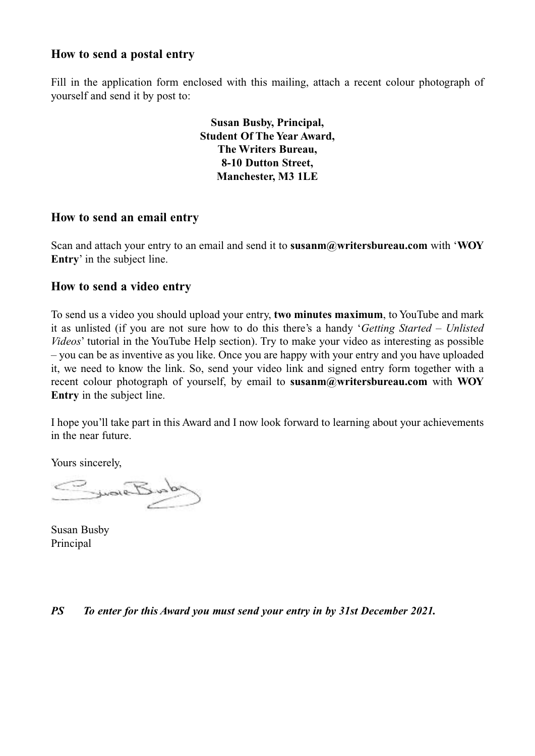#### **How to send a postal entry**

Fill in the application form enclosed with this mailing, attach a recent colour photograph of yourself and send it by post to:

> **Susan Busby, Principal, Student Of The Year Award, The Writers Bureau, 8-10 Dutton Street, Manchester, M3 1LE**

#### **How to send an email entry**

Scan and attach your entry to an email and send it to **susanm@writersbureau.com** with '**WOY Entry**' in the subject line.

#### **How to send a video entry**

To send us a video you should upload your entry, **two minutes maximum**, to YouTube and mark it as unlisted (if you are not sure how to do this there's a handy '*Getting Started – Unlisted Videos*' tutorial in the YouTube Help section). Try to make your video as interesting as possible – you can be as inventive as you like. Once you are happy with your entry and you have uploaded it, we need to know the link. So, send your video link and signed entry form together with a recent colour photograph of yourself, by email to **susanm@writersbureau.com** with **WOY Entry** in the subject line.

I hope you'll take part in this Award and I now look forward to learning about your achievements in the near future.

Yours sincerely,

SwareBunder

Susan Busby Principal

#### *PS To enter for this Award you must send your entry in by 31st December 2021.*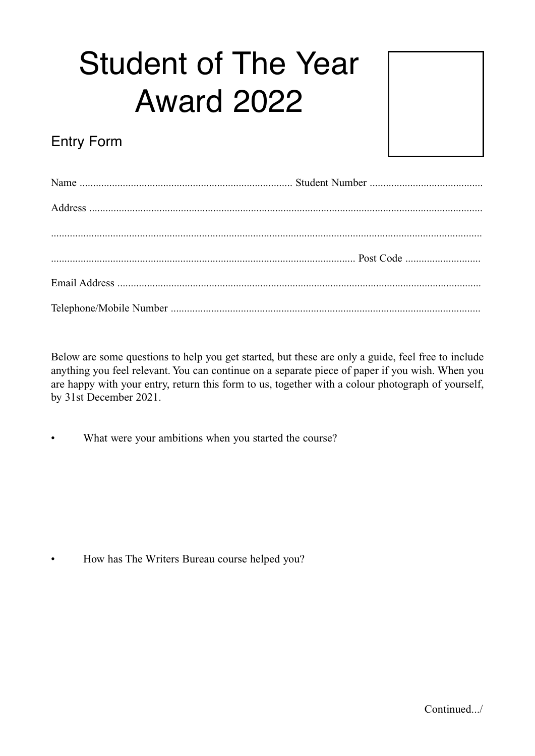# Student of The Year Award 2022



## Entry Form

Below are some questions to help you get started, but these are only a guide, feel free to include anything you feel relevant. You can continue on a separate piece of paper if you wish. When you are happy with your entry, return this form to us, together with a colour photograph of yourself, by 31st December 2021.

What were your ambitions when you started the course?

• How has The Writers Bureau course helped you?